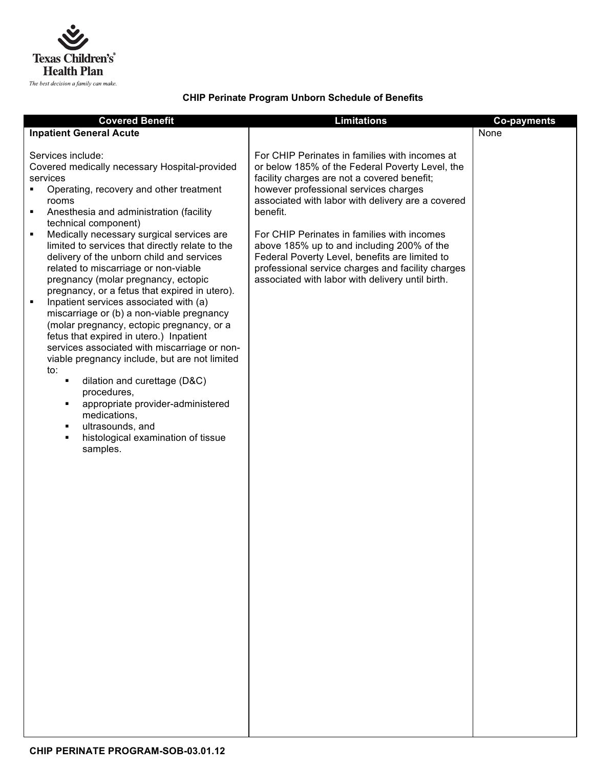

## **CHIP Perinate Program Unborn Schedule of Benefits**

| <b>Covered Benefit</b><br><b>Inpatient General Acute</b><br>Services include:<br>Covered medically necessary Hospital-provided<br>services<br>Operating, recovery and other treatment<br>٠<br>rooms<br>Anesthesia and administration (facility<br>٠<br>technical component)<br>Medically necessary surgical services are<br>٠<br>limited to services that directly relate to the<br>delivery of the unborn child and services<br>related to miscarriage or non-viable<br>pregnancy (molar pregnancy, ectopic<br>pregnancy, or a fetus that expired in utero).<br>Inpatient services associated with (a)<br>٠<br>miscarriage or (b) a non-viable pregnancy<br>(molar pregnancy, ectopic pregnancy, or a<br>fetus that expired in utero.) Inpatient<br>services associated with miscarriage or non-<br>viable pregnancy include, but are not limited<br>to:<br>dilation and curettage (D&C)<br>П<br>procedures,<br>appropriate provider-administered<br>٠<br>medications,<br>ultrasounds, and<br>histological examination of tissue<br>samples. | <b>Limitations</b><br>For CHIP Perinates in families with incomes at<br>or below 185% of the Federal Poverty Level, the<br>facility charges are not a covered benefit;<br>however professional services charges<br>associated with labor with delivery are a covered<br>benefit.<br>For CHIP Perinates in families with incomes<br>above 185% up to and including 200% of the<br>Federal Poverty Level, benefits are limited to<br>professional service charges and facility charges<br>associated with labor with delivery until birth. | <b>Co-payments</b><br>None |
|-----------------------------------------------------------------------------------------------------------------------------------------------------------------------------------------------------------------------------------------------------------------------------------------------------------------------------------------------------------------------------------------------------------------------------------------------------------------------------------------------------------------------------------------------------------------------------------------------------------------------------------------------------------------------------------------------------------------------------------------------------------------------------------------------------------------------------------------------------------------------------------------------------------------------------------------------------------------------------------------------------------------------------------------------|------------------------------------------------------------------------------------------------------------------------------------------------------------------------------------------------------------------------------------------------------------------------------------------------------------------------------------------------------------------------------------------------------------------------------------------------------------------------------------------------------------------------------------------|----------------------------|
|                                                                                                                                                                                                                                                                                                                                                                                                                                                                                                                                                                                                                                                                                                                                                                                                                                                                                                                                                                                                                                               |                                                                                                                                                                                                                                                                                                                                                                                                                                                                                                                                          |                            |
|                                                                                                                                                                                                                                                                                                                                                                                                                                                                                                                                                                                                                                                                                                                                                                                                                                                                                                                                                                                                                                               |                                                                                                                                                                                                                                                                                                                                                                                                                                                                                                                                          |                            |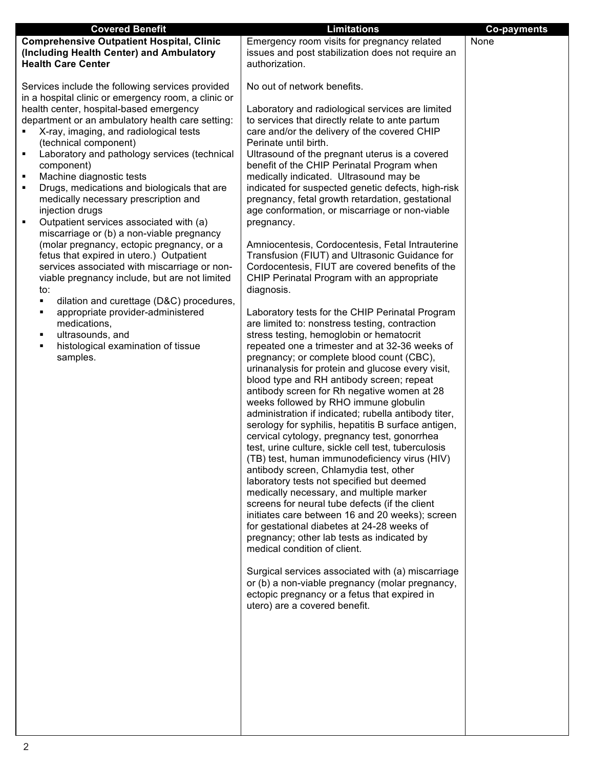| <b>Covered Benefit</b>                                                                                                                                                                                                                                                                                                                                                                                                                                                                                                                                                                                                                                                                                                                                                                                                                                                                 | <b>Limitations</b>                                                                                                                                                                                                                                                                                                                                                                                                                                                                                                                                                                                                                                                                                                                                                                                                                                                                                                                                                                                                                                                                                                                                                                                                                                                                       | <b>Co-payments</b> |
|----------------------------------------------------------------------------------------------------------------------------------------------------------------------------------------------------------------------------------------------------------------------------------------------------------------------------------------------------------------------------------------------------------------------------------------------------------------------------------------------------------------------------------------------------------------------------------------------------------------------------------------------------------------------------------------------------------------------------------------------------------------------------------------------------------------------------------------------------------------------------------------|------------------------------------------------------------------------------------------------------------------------------------------------------------------------------------------------------------------------------------------------------------------------------------------------------------------------------------------------------------------------------------------------------------------------------------------------------------------------------------------------------------------------------------------------------------------------------------------------------------------------------------------------------------------------------------------------------------------------------------------------------------------------------------------------------------------------------------------------------------------------------------------------------------------------------------------------------------------------------------------------------------------------------------------------------------------------------------------------------------------------------------------------------------------------------------------------------------------------------------------------------------------------------------------|--------------------|
| <b>Comprehensive Outpatient Hospital, Clinic</b>                                                                                                                                                                                                                                                                                                                                                                                                                                                                                                                                                                                                                                                                                                                                                                                                                                       | Emergency room visits for pregnancy related                                                                                                                                                                                                                                                                                                                                                                                                                                                                                                                                                                                                                                                                                                                                                                                                                                                                                                                                                                                                                                                                                                                                                                                                                                              | None               |
|                                                                                                                                                                                                                                                                                                                                                                                                                                                                                                                                                                                                                                                                                                                                                                                                                                                                                        |                                                                                                                                                                                                                                                                                                                                                                                                                                                                                                                                                                                                                                                                                                                                                                                                                                                                                                                                                                                                                                                                                                                                                                                                                                                                                          |                    |
|                                                                                                                                                                                                                                                                                                                                                                                                                                                                                                                                                                                                                                                                                                                                                                                                                                                                                        |                                                                                                                                                                                                                                                                                                                                                                                                                                                                                                                                                                                                                                                                                                                                                                                                                                                                                                                                                                                                                                                                                                                                                                                                                                                                                          |                    |
| (Including Health Center) and Ambulatory<br><b>Health Care Center</b><br>Services include the following services provided<br>in a hospital clinic or emergency room, a clinic or<br>health center, hospital-based emergency<br>department or an ambulatory health care setting:<br>X-ray, imaging, and radiological tests<br>(technical component)<br>Laboratory and pathology services (technical<br>٠<br>component)<br>Machine diagnostic tests<br>$\blacksquare$<br>Drugs, medications and biologicals that are<br>٠<br>medically necessary prescription and<br>injection drugs<br>Outpatient services associated with (a)<br>$\blacksquare$<br>miscarriage or (b) a non-viable pregnancy<br>(molar pregnancy, ectopic pregnancy, or a<br>fetus that expired in utero.) Outpatient<br>services associated with miscarriage or non-<br>viable pregnancy include, but are not limited | issues and post stabilization does not require an<br>authorization.<br>No out of network benefits.<br>Laboratory and radiological services are limited<br>to services that directly relate to ante partum<br>care and/or the delivery of the covered CHIP<br>Perinate until birth.<br>Ultrasound of the pregnant uterus is a covered<br>benefit of the CHIP Perinatal Program when<br>medically indicated. Ultrasound may be<br>indicated for suspected genetic defects, high-risk<br>pregnancy, fetal growth retardation, gestational<br>age conformation, or miscarriage or non-viable<br>pregnancy.<br>Amniocentesis, Cordocentesis, Fetal Intrauterine<br>Transfusion (FIUT) and Ultrasonic Guidance for<br>Cordocentesis, FIUT are covered benefits of the<br>CHIP Perinatal Program with an appropriate                                                                                                                                                                                                                                                                                                                                                                                                                                                                            |                    |
| to:<br>dilation and curettage (D&C) procedures,<br>٠<br>appropriate provider-administered<br>٠<br>medications,<br>ultrasounds, and<br>٠<br>histological examination of tissue<br>٠<br>samples.                                                                                                                                                                                                                                                                                                                                                                                                                                                                                                                                                                                                                                                                                         | diagnosis.<br>Laboratory tests for the CHIP Perinatal Program<br>are limited to: nonstress testing, contraction<br>stress testing, hemoglobin or hematocrit<br>repeated one a trimester and at 32-36 weeks of<br>pregnancy; or complete blood count (CBC),<br>urinanalysis for protein and glucose every visit,<br>blood type and RH antibody screen; repeat<br>antibody screen for Rh negative women at 28<br>weeks followed by RHO immune globulin<br>administration if indicated; rubella antibody titer,<br>serology for syphilis, hepatitis B surface antigen,<br>cervical cytology, pregnancy test, gonorrhea<br>test, urine culture, sickle cell test, tuberculosis<br>(TB) test, human immunodeficiency virus (HIV)<br>antibody screen, Chlamydia test, other<br>laboratory tests not specified but deemed<br>medically necessary, and multiple marker<br>screens for neural tube defects (if the client<br>initiates care between 16 and 20 weeks); screen<br>for gestational diabetes at 24-28 weeks of<br>pregnancy; other lab tests as indicated by<br>medical condition of client.<br>Surgical services associated with (a) miscarriage<br>or (b) a non-viable pregnancy (molar pregnancy,<br>ectopic pregnancy or a fetus that expired in<br>utero) are a covered benefit. |                    |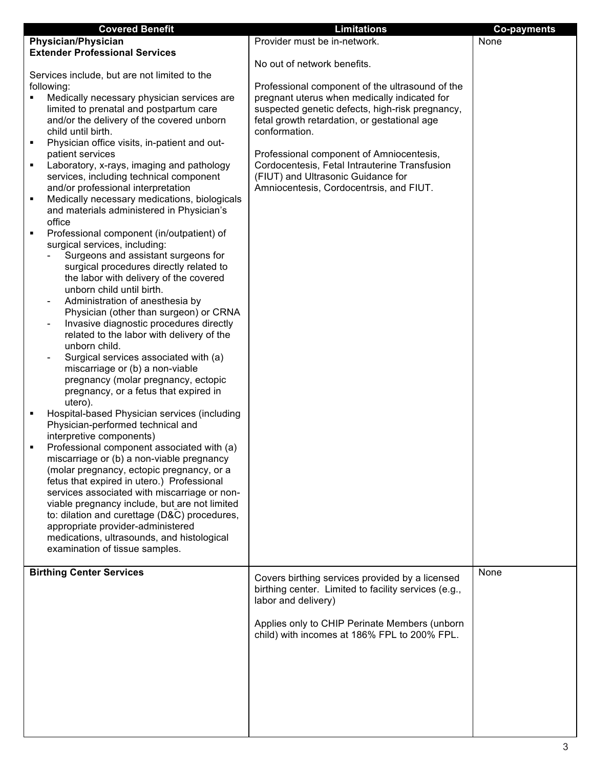|   | <b>Covered Benefit</b>                                                                  | <b>Limitations</b>                                   | <b>Co-payments</b> |
|---|-----------------------------------------------------------------------------------------|------------------------------------------------------|--------------------|
|   | <b>Physician/Physician</b>                                                              | Provider must be in-network.                         | None               |
|   | <b>Extender Professional Services</b>                                                   |                                                      |                    |
|   |                                                                                         | No out of network benefits.                          |                    |
|   | Services include, but are not limited to the                                            |                                                      |                    |
|   | following:                                                                              | Professional component of the ultrasound of the      |                    |
| ٠ | Medically necessary physician services are                                              | pregnant uterus when medically indicated for         |                    |
|   | limited to prenatal and postpartum care                                                 | suspected genetic defects, high-risk pregnancy,      |                    |
|   | and/or the delivery of the covered unborn                                               | fetal growth retardation, or gestational age         |                    |
|   | child until birth.                                                                      | conformation.                                        |                    |
| ٠ | Physician office visits, in-patient and out-                                            |                                                      |                    |
|   | patient services                                                                        | Professional component of Amniocentesis,             |                    |
| ٠ | Laboratory, x-rays, imaging and pathology                                               | Cordocentesis, Fetal Intrauterine Transfusion        |                    |
|   | services, including technical component                                                 | (FIUT) and Ultrasonic Guidance for                   |                    |
|   | and/or professional interpretation                                                      | Amniocentesis, Cordocentrsis, and FIUT.              |                    |
| ٠ | Medically necessary medications, biologicals                                            |                                                      |                    |
|   | and materials administered in Physician's                                               |                                                      |                    |
|   | office                                                                                  |                                                      |                    |
| ٠ | Professional component (in/outpatient) of                                               |                                                      |                    |
|   | surgical services, including:                                                           |                                                      |                    |
|   | Surgeons and assistant surgeons for                                                     |                                                      |                    |
|   | surgical procedures directly related to                                                 |                                                      |                    |
|   | the labor with delivery of the covered                                                  |                                                      |                    |
|   | unborn child until birth.                                                               |                                                      |                    |
|   | Administration of anesthesia by                                                         |                                                      |                    |
|   | Physician (other than surgeon) or CRNA                                                  |                                                      |                    |
|   | Invasive diagnostic procedures directly<br>$\qquad \qquad \blacksquare$                 |                                                      |                    |
|   | related to the labor with delivery of the                                               |                                                      |                    |
|   | unborn child.                                                                           |                                                      |                    |
|   | Surgical services associated with (a)                                                   |                                                      |                    |
|   | miscarriage or (b) a non-viable                                                         |                                                      |                    |
|   | pregnancy (molar pregnancy, ectopic                                                     |                                                      |                    |
|   | pregnancy, or a fetus that expired in                                                   |                                                      |                    |
|   | utero).                                                                                 |                                                      |                    |
| ٠ | Hospital-based Physician services (including                                            |                                                      |                    |
|   | Physician-performed technical and                                                       |                                                      |                    |
|   | interpretive components)                                                                |                                                      |                    |
| ٠ | Professional component associated with (a)                                              |                                                      |                    |
|   | miscarriage or (b) a non-viable pregnancy                                               |                                                      |                    |
|   | (molar pregnancy, ectopic pregnancy, or a<br>fetus that expired in utero.) Professional |                                                      |                    |
|   | services associated with miscarriage or non-                                            |                                                      |                    |
|   | viable pregnancy include, but are not limited                                           |                                                      |                    |
|   | to: dilation and curettage (D&C) procedures,                                            |                                                      |                    |
|   | appropriate provider-administered                                                       |                                                      |                    |
|   | medications, ultrasounds, and histological                                              |                                                      |                    |
|   | examination of tissue samples.                                                          |                                                      |                    |
|   |                                                                                         |                                                      |                    |
|   | <b>Birthing Center Services</b>                                                         |                                                      | None               |
|   |                                                                                         | Covers birthing services provided by a licensed      |                    |
|   |                                                                                         | birthing center. Limited to facility services (e.g., |                    |
|   |                                                                                         | labor and delivery)                                  |                    |
|   |                                                                                         |                                                      |                    |
|   |                                                                                         | Applies only to CHIP Perinate Members (unborn        |                    |
|   |                                                                                         | child) with incomes at 186% FPL to 200% FPL.         |                    |
|   |                                                                                         |                                                      |                    |
|   |                                                                                         |                                                      |                    |
|   |                                                                                         |                                                      |                    |
|   |                                                                                         |                                                      |                    |
|   |                                                                                         |                                                      |                    |
|   |                                                                                         |                                                      |                    |
|   |                                                                                         |                                                      |                    |
|   |                                                                                         |                                                      |                    |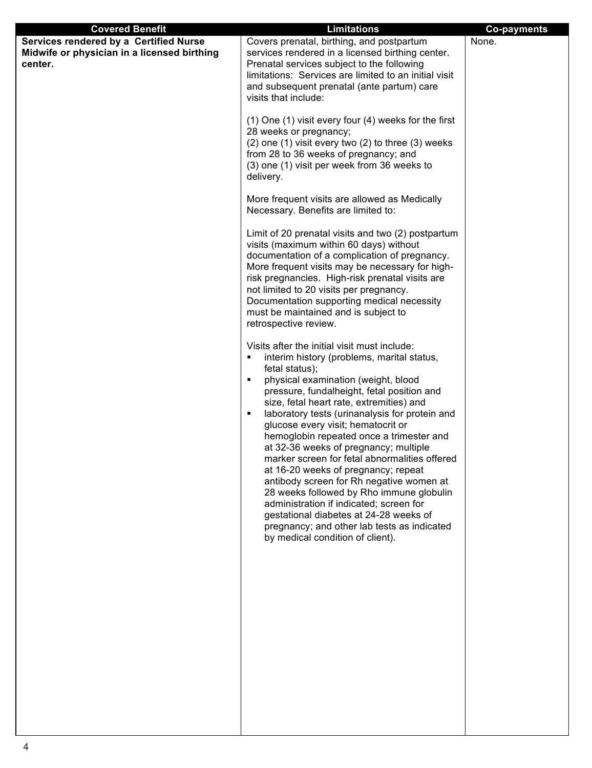| <b>Covered Benefit</b>                                                                           | <b>Limitations</b>                                                                                                                                                                                                                                                                                                                                                                                                                                                                                                                                                                                                                                                                                                                                                                                | <b>Co-payments</b> |
|--------------------------------------------------------------------------------------------------|---------------------------------------------------------------------------------------------------------------------------------------------------------------------------------------------------------------------------------------------------------------------------------------------------------------------------------------------------------------------------------------------------------------------------------------------------------------------------------------------------------------------------------------------------------------------------------------------------------------------------------------------------------------------------------------------------------------------------------------------------------------------------------------------------|--------------------|
| Services rendered by a Certified Nurse<br>Midwife or physician in a licensed birthing<br>center. | Covers prenatal, birthing, and postpartum<br>services rendered in a licensed birthing center.<br>Prenatal services subject to the following<br>limitations: Services are limited to an initial visit<br>and subsequent prenatal (ante partum) care<br>visits that include:                                                                                                                                                                                                                                                                                                                                                                                                                                                                                                                        | None.              |
|                                                                                                  | (1) One (1) visit every four (4) weeks for the first<br>28 weeks or pregnancy;<br>$(2)$ one $(1)$ visit every two $(2)$ to three $(3)$ weeks<br>from 28 to 36 weeks of pregnancy; and<br>(3) one (1) visit per week from 36 weeks to<br>delivery.                                                                                                                                                                                                                                                                                                                                                                                                                                                                                                                                                 |                    |
|                                                                                                  | More frequent visits are allowed as Medically<br>Necessary. Benefits are limited to:                                                                                                                                                                                                                                                                                                                                                                                                                                                                                                                                                                                                                                                                                                              |                    |
|                                                                                                  | Limit of 20 prenatal visits and two (2) postpartum<br>visits (maximum within 60 days) without<br>documentation of a complication of pregnancy.<br>More frequent visits may be necessary for high-<br>risk pregnancies. High-risk prenatal visits are<br>not limited to 20 visits per pregnancy.<br>Documentation supporting medical necessity<br>must be maintained and is subject to<br>retrospective review.                                                                                                                                                                                                                                                                                                                                                                                    |                    |
|                                                                                                  | Visits after the initial visit must include:<br>interim history (problems, marital status,<br>٠<br>fetal status);<br>physical examination (weight, blood<br>٠<br>pressure, fundalheight, fetal position and<br>size, fetal heart rate, extremities) and<br>laboratory tests (urinanalysis for protein and<br>٠<br>glucose every visit; hematocrit or<br>hemoglobin repeated once a trimester and<br>at 32-36 weeks of pregnancy; multiple<br>marker screen for fetal abnormalities offered<br>at 16-20 weeks of pregnancy; repeat<br>antibody screen for Rh negative women at<br>28 weeks followed by Rho immune globulin<br>administration if indicated; screen for<br>gestational diabetes at 24-28 weeks of<br>pregnancy; and other lab tests as indicated<br>by medical condition of client). |                    |
|                                                                                                  |                                                                                                                                                                                                                                                                                                                                                                                                                                                                                                                                                                                                                                                                                                                                                                                                   |                    |
|                                                                                                  |                                                                                                                                                                                                                                                                                                                                                                                                                                                                                                                                                                                                                                                                                                                                                                                                   |                    |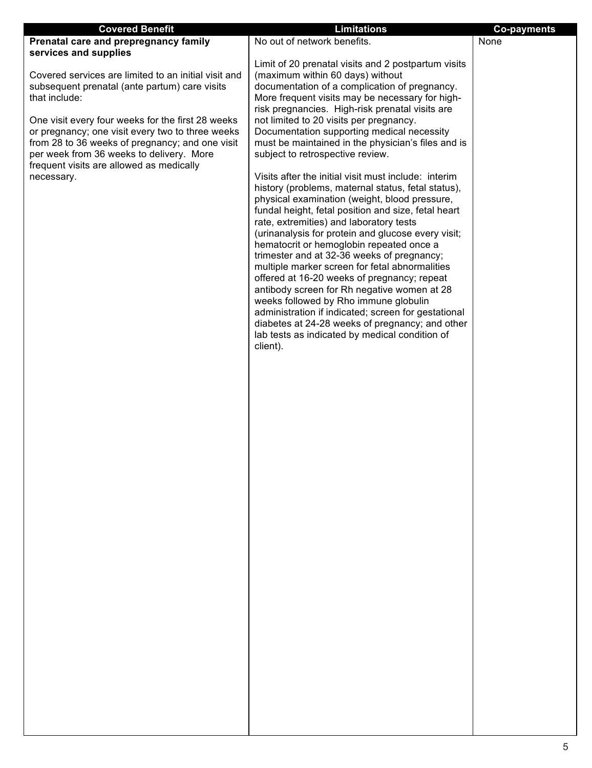| <b>Covered Benefit</b>                                         | <b>Limitations</b>                                                                                  | <b>Co-payments</b> |
|----------------------------------------------------------------|-----------------------------------------------------------------------------------------------------|--------------------|
| Prenatal care and prepregnancy family                          | No out of network benefits.                                                                         | None               |
| services and supplies                                          |                                                                                                     |                    |
|                                                                | Limit of 20 prenatal visits and 2 postpartum visits                                                 |                    |
| Covered services are limited to an initial visit and           | (maximum within 60 days) without                                                                    |                    |
| subsequent prenatal (ante partum) care visits<br>that include: | documentation of a complication of pregnancy.                                                       |                    |
|                                                                | More frequent visits may be necessary for high-<br>risk pregnancies. High-risk prenatal visits are  |                    |
| One visit every four weeks for the first 28 weeks              | not limited to 20 visits per pregnancy.                                                             |                    |
| or pregnancy; one visit every two to three weeks               | Documentation supporting medical necessity                                                          |                    |
| from 28 to 36 weeks of pregnancy; and one visit                | must be maintained in the physician's files and is                                                  |                    |
| per week from 36 weeks to delivery. More                       | subject to retrospective review.                                                                    |                    |
| frequent visits are allowed as medically                       |                                                                                                     |                    |
| necessary.                                                     | Visits after the initial visit must include: interim                                                |                    |
|                                                                | history (problems, maternal status, fetal status),<br>physical examination (weight, blood pressure, |                    |
|                                                                | fundal height, fetal position and size, fetal heart                                                 |                    |
|                                                                | rate, extremities) and laboratory tests                                                             |                    |
|                                                                | (urinanalysis for protein and glucose every visit;                                                  |                    |
|                                                                | hematocrit or hemoglobin repeated once a                                                            |                    |
|                                                                | trimester and at 32-36 weeks of pregnancy;                                                          |                    |
|                                                                | multiple marker screen for fetal abnormalities<br>offered at 16-20 weeks of pregnancy; repeat       |                    |
|                                                                | antibody screen for Rh negative women at 28                                                         |                    |
|                                                                | weeks followed by Rho immune globulin                                                               |                    |
|                                                                | administration if indicated; screen for gestational                                                 |                    |
|                                                                | diabetes at 24-28 weeks of pregnancy; and other                                                     |                    |
|                                                                | lab tests as indicated by medical condition of                                                      |                    |
|                                                                | client).                                                                                            |                    |
|                                                                |                                                                                                     |                    |
|                                                                |                                                                                                     |                    |
|                                                                |                                                                                                     |                    |
|                                                                |                                                                                                     |                    |
|                                                                |                                                                                                     |                    |
|                                                                |                                                                                                     |                    |
|                                                                |                                                                                                     |                    |
|                                                                |                                                                                                     |                    |
|                                                                |                                                                                                     |                    |
|                                                                |                                                                                                     |                    |
|                                                                |                                                                                                     |                    |
|                                                                |                                                                                                     |                    |
|                                                                |                                                                                                     |                    |
|                                                                |                                                                                                     |                    |
|                                                                |                                                                                                     |                    |
|                                                                |                                                                                                     |                    |
|                                                                |                                                                                                     |                    |
|                                                                |                                                                                                     |                    |
|                                                                |                                                                                                     |                    |
|                                                                |                                                                                                     |                    |
|                                                                |                                                                                                     |                    |
|                                                                |                                                                                                     |                    |
|                                                                |                                                                                                     |                    |
|                                                                |                                                                                                     |                    |
|                                                                |                                                                                                     |                    |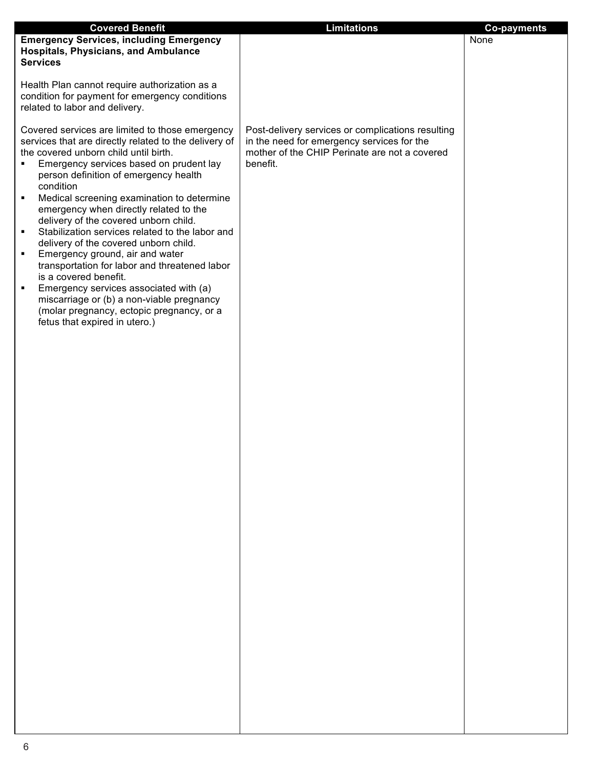| <b>Covered Benefit</b>                                                                                                                                                                                                                                                                                                                                                                                                                                                                                                                                                                                                                                                                                                                                                                                                       | <b>Limitations</b>                                                                                                                                           | <b>Co-payments</b> |
|------------------------------------------------------------------------------------------------------------------------------------------------------------------------------------------------------------------------------------------------------------------------------------------------------------------------------------------------------------------------------------------------------------------------------------------------------------------------------------------------------------------------------------------------------------------------------------------------------------------------------------------------------------------------------------------------------------------------------------------------------------------------------------------------------------------------------|--------------------------------------------------------------------------------------------------------------------------------------------------------------|--------------------|
| <b>Emergency Services, including Emergency</b><br><b>Hospitals, Physicians, and Ambulance</b>                                                                                                                                                                                                                                                                                                                                                                                                                                                                                                                                                                                                                                                                                                                                |                                                                                                                                                              | None               |
| <b>Services</b>                                                                                                                                                                                                                                                                                                                                                                                                                                                                                                                                                                                                                                                                                                                                                                                                              |                                                                                                                                                              |                    |
| Health Plan cannot require authorization as a                                                                                                                                                                                                                                                                                                                                                                                                                                                                                                                                                                                                                                                                                                                                                                                |                                                                                                                                                              |                    |
| condition for payment for emergency conditions                                                                                                                                                                                                                                                                                                                                                                                                                                                                                                                                                                                                                                                                                                                                                                               |                                                                                                                                                              |                    |
|                                                                                                                                                                                                                                                                                                                                                                                                                                                                                                                                                                                                                                                                                                                                                                                                                              |                                                                                                                                                              |                    |
| related to labor and delivery.<br>Covered services are limited to those emergency<br>services that are directly related to the delivery of<br>the covered unborn child until birth.<br>Emergency services based on prudent lay<br>٠<br>person definition of emergency health<br>condition<br>Medical screening examination to determine<br>٠<br>emergency when directly related to the<br>delivery of the covered unborn child.<br>Stabilization services related to the labor and<br>٠<br>delivery of the covered unborn child.<br>Emergency ground, air and water<br>٠<br>transportation for labor and threatened labor<br>is a covered benefit.<br>Emergency services associated with (a)<br>٠<br>miscarriage or (b) a non-viable pregnancy<br>(molar pregnancy, ectopic pregnancy, or a<br>fetus that expired in utero.) | Post-delivery services or complications resulting<br>in the need for emergency services for the<br>mother of the CHIP Perinate are not a covered<br>benefit. |                    |
|                                                                                                                                                                                                                                                                                                                                                                                                                                                                                                                                                                                                                                                                                                                                                                                                                              |                                                                                                                                                              |                    |
|                                                                                                                                                                                                                                                                                                                                                                                                                                                                                                                                                                                                                                                                                                                                                                                                                              |                                                                                                                                                              |                    |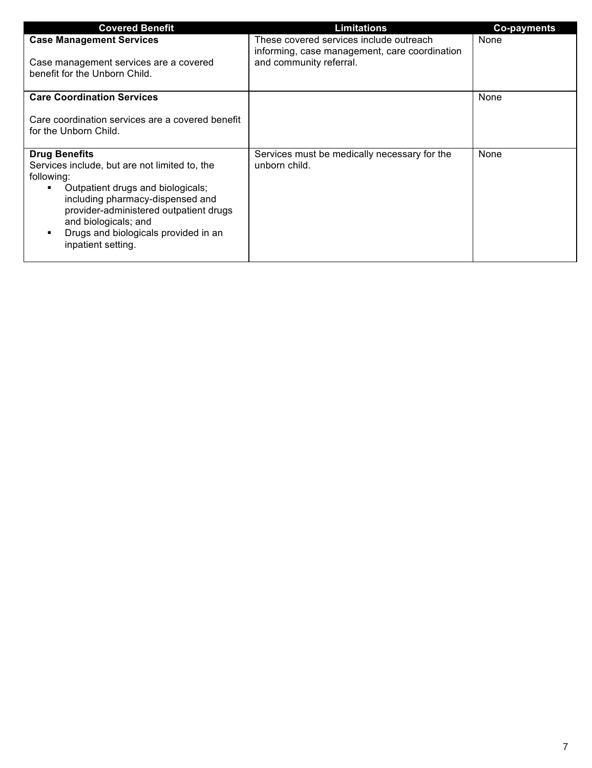| <b>Covered Benefit</b>                                                                                                                                                                                                                                                                                 | <b>Limitations</b>                                                                       | <b>Co-payments</b> |
|--------------------------------------------------------------------------------------------------------------------------------------------------------------------------------------------------------------------------------------------------------------------------------------------------------|------------------------------------------------------------------------------------------|--------------------|
| <b>Case Management Services</b>                                                                                                                                                                                                                                                                        | These covered services include outreach<br>informing, case management, care coordination | None               |
| Case management services are a covered<br>benefit for the Unborn Child.                                                                                                                                                                                                                                | and community referral.                                                                  |                    |
| <b>Care Coordination Services</b>                                                                                                                                                                                                                                                                      |                                                                                          | None               |
| Care coordination services are a covered benefit<br>for the Unborn Child.                                                                                                                                                                                                                              |                                                                                          |                    |
| <b>Drug Benefits</b><br>Services include, but are not limited to, the<br>following:<br>Outpatient drugs and biologicals;<br>٠<br>including pharmacy-dispensed and<br>provider-administered outpatient drugs<br>and biologicals; and<br>Drugs and biologicals provided in an<br>٠<br>inpatient setting. | Services must be medically necessary for the<br>unborn child.                            | None               |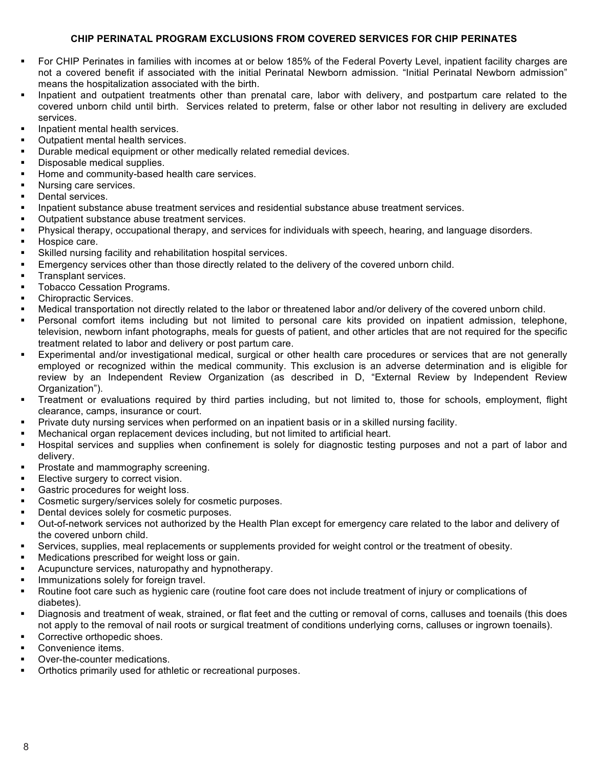## **CHIP PERINATAL PROGRAM EXCLUSIONS FROM COVERED SERVICES FOR CHIP PERINATES**

- For CHIP Perinates in families with incomes at or below 185% of the Federal Poverty Level, inpatient facility charges are not a covered benefit if associated with the initial Perinatal Newborn admission. "Initial Perinatal Newborn admission" means the hospitalization associated with the birth.
- Inpatient and outpatient treatments other than prenatal care, labor with delivery, and postpartum care related to the covered unborn child until birth. Services related to preterm, false or other labor not resulting in delivery are excluded services.
- Inpatient mental health services.
- Outpatient mental health services.
- Durable medical equipment or other medically related remedial devices.
- Disposable medical supplies.
- Home and community-based health care services.
- Nursing care services.
- Dental services.
- Inpatient substance abuse treatment services and residential substance abuse treatment services.
- Outpatient substance abuse treatment services.
- Physical therapy, occupational therapy, and services for individuals with speech, hearing, and language disorders.
- Hospice care.
- Skilled nursing facility and rehabilitation hospital services.
- Emergency services other than those directly related to the delivery of the covered unborn child.
- Transplant services.
- Tobacco Cessation Programs.
- Chiropractic Services.
- Medical transportation not directly related to the labor or threatened labor and/or delivery of the covered unborn child.
- Personal comfort items including but not limited to personal care kits provided on inpatient admission, telephone, television, newborn infant photographs, meals for guests of patient, and other articles that are not required for the specific treatment related to labor and delivery or post partum care.
- Experimental and/or investigational medical, surgical or other health care procedures or services that are not generally employed or recognized within the medical community. This exclusion is an adverse determination and is eligible for review by an Independent Review Organization (as described in D, "External Review by Independent Review Organization").
- Treatment or evaluations required by third parties including, but not limited to, those for schools, employment, flight clearance, camps, insurance or court.
- Private duty nursing services when performed on an inpatient basis or in a skilled nursing facility.
- Mechanical organ replacement devices including, but not limited to artificial heart.
- Hospital services and supplies when confinement is solely for diagnostic testing purposes and not a part of labor and delivery.
- Prostate and mammography screening.
- Elective surgery to correct vision.
- Gastric procedures for weight loss.
- Cosmetic surgery/services solely for cosmetic purposes.
- Dental devices solely for cosmetic purposes.
- Out-of-network services not authorized by the Health Plan except for emergency care related to the labor and delivery of the covered unborn child.
- Services, supplies, meal replacements or supplements provided for weight control or the treatment of obesity.
- Medications prescribed for weight loss or gain.
- Acupuncture services, naturopathy and hypnotherapy.
- Immunizations solely for foreign travel.
- Routine foot care such as hygienic care (routine foot care does not include treatment of injury or complications of diabetes).
- Diagnosis and treatment of weak, strained, or flat feet and the cutting or removal of corns, calluses and toenails (this does not apply to the removal of nail roots or surgical treatment of conditions underlying corns, calluses or ingrown toenails).
- Corrective orthopedic shoes.
- Convenience items.
- Over-the-counter medications.
- Orthotics primarily used for athletic or recreational purposes.